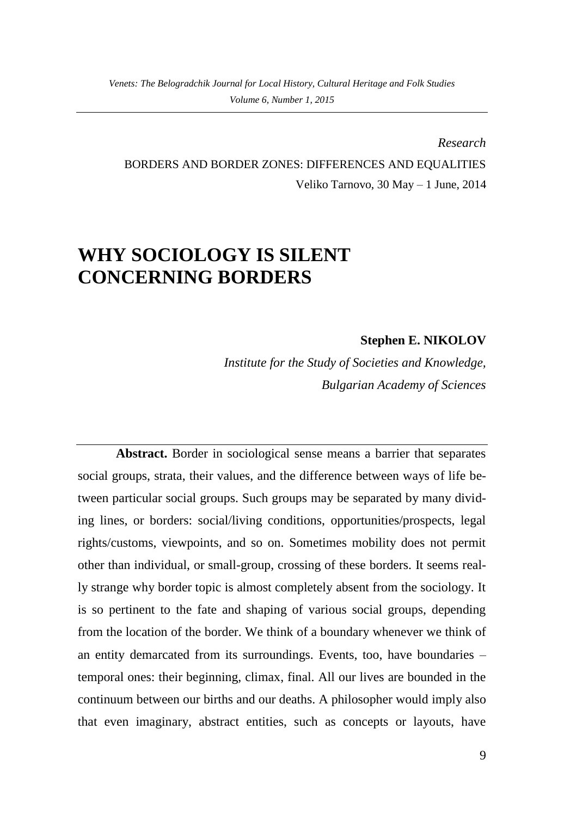*Research* BORDERS AND BORDER ZONES: DIFFERENCES AND EQUALITIES Veliko Tarnovo, 30 May – 1 June, 2014

# **WHY SOCIOLOGY IS SILENT CONCERNING BORDERS**

### **Stephen E. NIKOLOV**

*Institute for the Study of Societies and Knowledge, Bulgarian Academy of Sciences*

**Abstract.** Border in sociological sense means a barrier that separates social groups, strata, their values, and the difference between ways of life between particular social groups. Such groups may be separated by many dividing lines, or borders: social/living conditions, opportunities/prospects, legal rights/customs, viewpoints, and so on. Sometimes mobility does not permit other than individual, or small-group, crossing of these borders. It seems really strange why border topic is almost completely absent from the sociology. It is so pertinent to the fate and shaping of various social groups, depending from the location of the border. We think of a boundary whenever we think of an entity demarcated from its surroundings. Events, too, have boundaries – temporal ones: their beginning, climax, final. All our lives are bounded in the continuum between our births and our deaths. A philosopher would imply also that even imaginary, abstract entities, such as concepts or layouts, have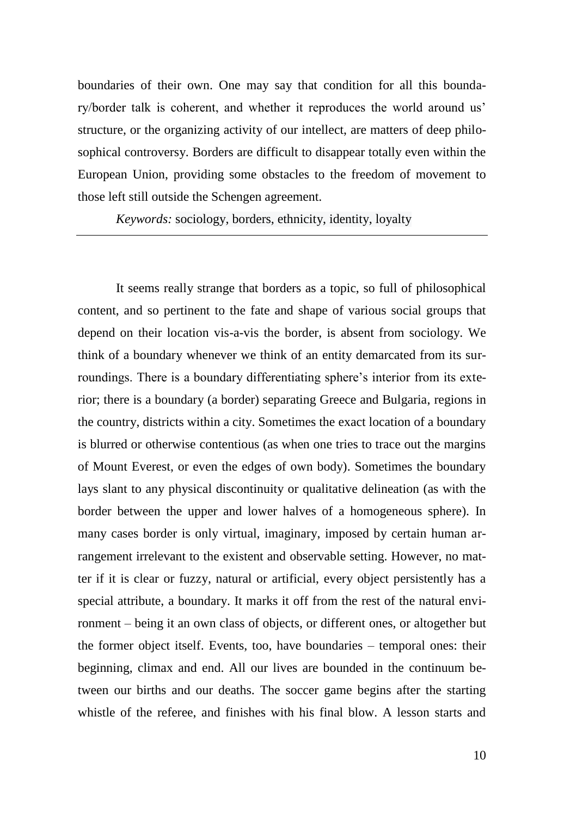boundaries of their own. One may say that condition for all this boundary/border talk is coherent, and whether it reproduces the world around us' structure, or the organizing activity of our intellect, are matters of deep philosophical controversy. Borders are difficult to disappear totally even within the European Union, providing some obstacles to the freedom of movement to those left still outside the Schengen agreement.

*Keywords:* sociology, borders, ethnicity, identity, loyalty

It seems really strange that borders as a topic, so full of philosophical content, and so pertinent to the fate and shape of various social groups that depend on their location vis-a-vis the border, is absent from sociology. We think of a boundary whenever we think of an entity demarcated from its surroundings. There is a boundary differentiating sphere's interior from its exterior; there is a boundary (a border) separating Greece and Bulgaria, regions in the country, districts within a city. Sometimes the exact location of a boundary is blurred or otherwise contentious (as when one tries to trace out the margins of Mount Everest, or even the edges of own body). Sometimes the boundary lays slant to any physical discontinuity or qualitative delineation (as with the border between the upper and lower halves of a homogeneous sphere). In many cases border is only virtual, imaginary, imposed by certain human arrangement irrelevant to the existent and observable setting. However, no matter if it is clear or fuzzy, natural or artificial, every object persistently has a special attribute, a boundary. It marks it off from the rest of the natural environment – being it an own class of objects, or different ones, or altogether but the former object itself. Events, too, have boundaries – temporal ones: their beginning, climax and end. All our lives are bounded in the continuum between our births and our deaths. The soccer game begins after the starting whistle of the referee, and finishes with his final blow. A lesson starts and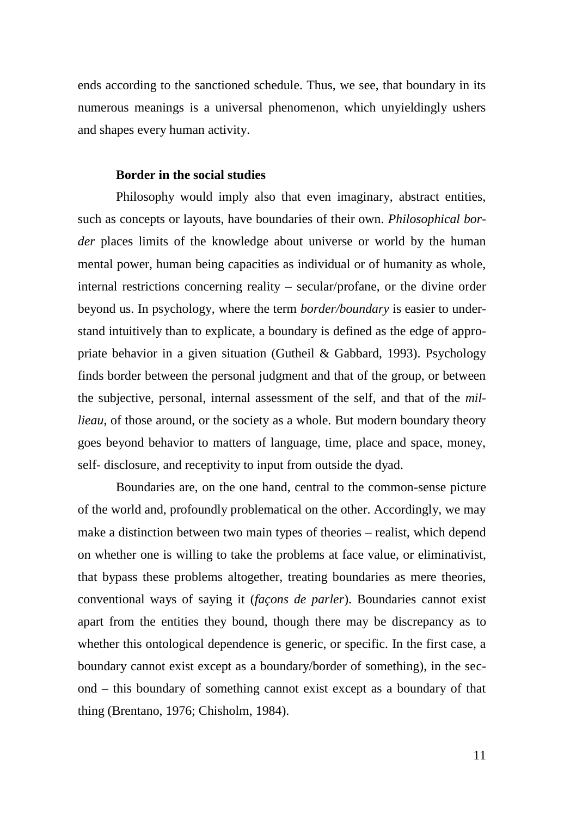ends according to the sanctioned schedule. Thus, we see, that boundary in its numerous meanings is a universal phenomenon, which unyieldingly ushers and shapes every human activity.

#### **Border in the social studies**

Philosophy would imply also that even imaginary, abstract entities, such as concepts or layouts, have boundaries of their own. *Philosophical border* places limits of the knowledge about universe or world by the human mental power, human being capacities as individual or of humanity as whole, internal restrictions concerning reality – secular/profane, or the divine order beyond us. In psychology, where the term *border/boundary* is easier to understand intuitively than to explicate, a boundary is defined as the edge of appropriate behavior in a given situation (Gutheil & Gabbard, 1993). Psychology finds border between the personal judgment and that of the group, or between the subjective, personal, internal assessment of the self, and that of the *millieau*, of those around, or the society as a whole. But modern boundary theory goes beyond behavior to matters of language, time, place and space, money, self- disclosure, and receptivity to input from outside the dyad.

Boundaries are, on the one hand, central to the common-sense picture of the world and, profoundly problematical on the other. Accordingly, we may make a distinction between two main types of theories – realist, which depend on whether one is willing to take the problems at face value, or eliminativist, that bypass these problems altogether, treating boundaries as mere theories, conventional ways of saying it (*façons de parler*). Boundaries cannot exist apart from the entities they bound, though there may be discrepancy as to whether this ontological dependence is generic, or specific. In the first case, a boundary cannot exist except as a boundary/border of something), in the second – this boundary of something cannot exist except as a boundary of that thing (Brentano, 1976; Chisholm, 1984).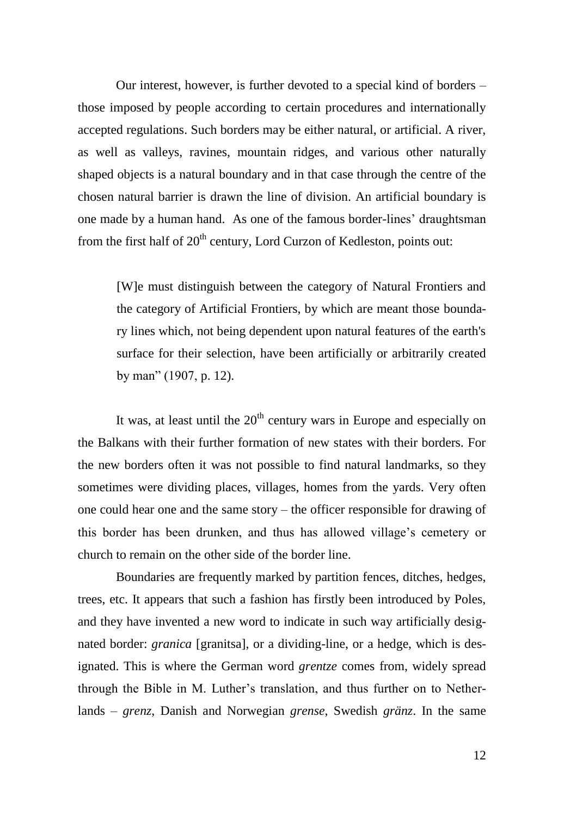Our interest, however, is further devoted to a special kind of borders – those imposed by people according to certain procedures and internationally accepted regulations. Such borders may be either natural, or artificial. A river, as well as valleys, ravines, mountain ridges, and various other naturally shaped objects is a natural boundary and in that case through the centre of the chosen natural barrier is drawn the line of division. An artificial boundary is one made by a human hand. As one of the famous border-lines' draughtsman from the first half of  $20<sup>th</sup>$  century, Lord Curzon of Kedleston, points out:

[W]e must distinguish between the category of Natural Frontiers and the category of Artificial Frontiers, by which are meant those boundary lines which, not being dependent upon natural features of the earth's surface for their selection, have been artificially or arbitrarily created by man" (1907, p. 12).

It was, at least until the  $20<sup>th</sup>$  century wars in Europe and especially on the Balkans with their further formation of new states with their borders. For the new borders often it was not possible to find natural landmarks, so they sometimes were dividing places, villages, homes from the yards. Very often one could hear one and the same story – the officer responsible for drawing of this border has been drunken, and thus has allowed village's cemetery or church to remain on the other side of the border line.

Boundaries are frequently marked by partition fences, ditches, hedges, trees, etc. It appears that such a fashion has firstly been introduced by Poles, and they have invented a new word to indicate in such way artificially designated border: *granica* [granitsa], or a dividing-line, or a hedge, which is designated. This is where the German word *grentze* comes from, widely spread through the Bible in M. Luther's translation, and thus further on to Netherlands – *grenz*, Danish and Norwegian *grense*, Swedish *gränz*. In the same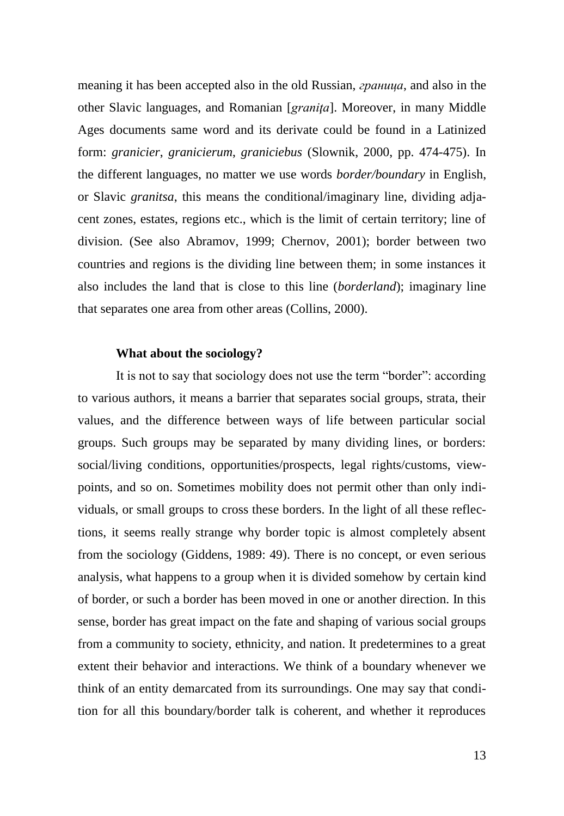meaning it has been accepted also in the old Russian, *граница*, and also in the other Slavic languages, and Romanian [*graniţa*]. Moreover, in many Middle Ages documents same word and its derivate could be found in a Latinized form: *granicier*, *granicierum*, *graniciebus* (Slownik, 2000, pp. 474-475). In the different languages, no matter we use words *border/boundary* in English, or Slavic *granitsa*, this means the conditional/imaginary line, dividing adjacent zones, estates, regions etc., which is the limit of certain territory; line of division. (See also Abramov, 1999; Chernov, 2001); border between two countries and regions is the dividing line between them; in some instances it also includes the land that is close to this line (*borderland*); imaginary line that separates one area from other areas (Collins, 2000).

#### **What about the sociology?**

It is not to say that sociology does not use the term "border": according to various authors, it means a barrier that separates social groups, strata, their values, and the difference between ways of life between particular social groups. Such groups may be separated by many dividing lines, or borders: social/living conditions, opportunities/prospects, legal rights/customs, viewpoints, and so on. Sometimes mobility does not permit other than only individuals, or small groups to cross these borders. In the light of all these reflections, it seems really strange why border topic is almost completely absent from the sociology (Giddens, 1989: 49). There is no concept, or even serious analysis, what happens to a group when it is divided somehow by certain kind of border, or such a border has been moved in one or another direction. In this sense, border has great impact on the fate and shaping of various social groups from a community to society, ethnicity, and nation. It predetermines to a great extent their behavior and interactions. We think of a boundary whenever we think of an entity demarcated from its surroundings. One may say that condition for all this boundary/border talk is coherent, and whether it reproduces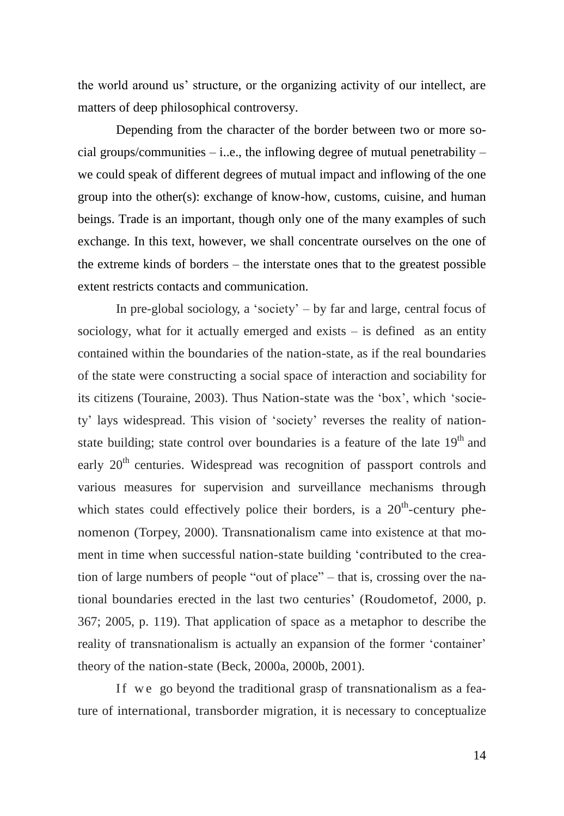the world around us' structure, or the organizing activity of our intellect, are matters of deep philosophical controversy.

Depending from the character of the border between two or more social groups/communities  $-$  i.e., the inflowing degree of mutual penetrability  $$ we could speak of different degrees of mutual impact and inflowing of the one group into the other(s): exchange of know-how, customs, cuisine, and human beings. Trade is an important, though only one of the many examples of such exchange. In this text, however, we shall concentrate ourselves on the one of the extreme kinds of borders – the interstate ones that to the greatest possible extent restricts contacts and communication.

In pre-global sociology, a 'society' – by far and large, central focus of sociology, what for it actually emerged and exists  $-$  is defined as an entity contained within the boundaries of the nation-state, as if the real boundaries of the state were constructing a social space of interaction and sociability for its citizens (Touraine, 2003). Thus Nation-state was the 'box', which 'society' lays widespread. This vision of 'society' reverses the reality of nationstate building; state control over boundaries is a feature of the late  $19<sup>th</sup>$  and early 20<sup>th</sup> centuries. Widespread was recognition of passport controls and various measures for supervision and surveillance mechanisms through which states could effectively police their borders, is a  $20<sup>th</sup>$ -century phenomenon (Torpey, 2000). Transnationalism came into existence at that moment in time when successful nation-state building 'contributed to the creation of large numbers of people "out of place" – that is, crossing over the national boundaries erected in the last two centuries' (Roudometof, 2000, p. 367; 2005, p. 119). That application of space as a metaphor to describe the reality of transnationalism is actually an expansion of the former 'container' theory of the nation-state (Beck, 2000a, 2000b, 2001).

If we go beyond the traditional grasp of transnationalism as a feature of international, transborder migration, it is necessary to conceptualize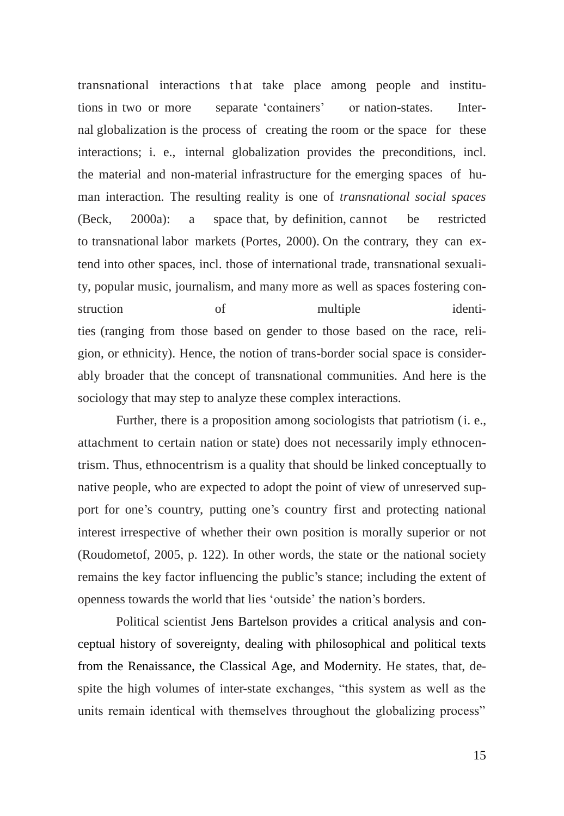transnational interactions that take place among people and institutions in two or more separate 'containers' or nation-states. Internal globalization is the process of creating the room or the space for these interactions; i. e., internal globalization provides the preconditions, incl. the material and non-material infrastructure for the emerging spaces of human interaction. The resulting reality is one of *transnational social spaces* (Beck, 2000a): a space that, by definition, cannot be restricted to transnational labor markets (Portes, 2000). On the contrary, they can extend into other spaces, incl. those of international trade, transnational sexuality, popular music, journalism, and many more as well as spaces fostering construction of multiple identities (ranging from those based on gender to those based on the race, religion, or ethnicity). Hence, the notion of trans-border social space is considerably broader that the concept of transnational communities. And here is the sociology that may step to analyze these complex interactions.

Further, there is a proposition among sociologists that patriotism (i. e., attachment to certain nation or state) does not necessarily imply ethnocentrism. Thus, ethnocentrism is a quality that should be linked conceptually to native people, who are expected to adopt the point of view of unreserved support for one's country, putting one's country first and protecting national interest irrespective of whether their own position is morally superior or not (Roudometof, 2005, p. 122). In other words, the state or the national society remains the key factor influencing the public's stance; including the extent of openness towards the world that lies 'outside' the nation's borders.

Political scientist Jens Bartelson provides a critical analysis and conceptual history of sovereignty, dealing with philosophical and political texts from the Renaissance, the Classical Age, and Modernity. He states, that, despite the high volumes of inter-state exchanges, "this system as well as the units remain identical with themselves throughout the globalizing process"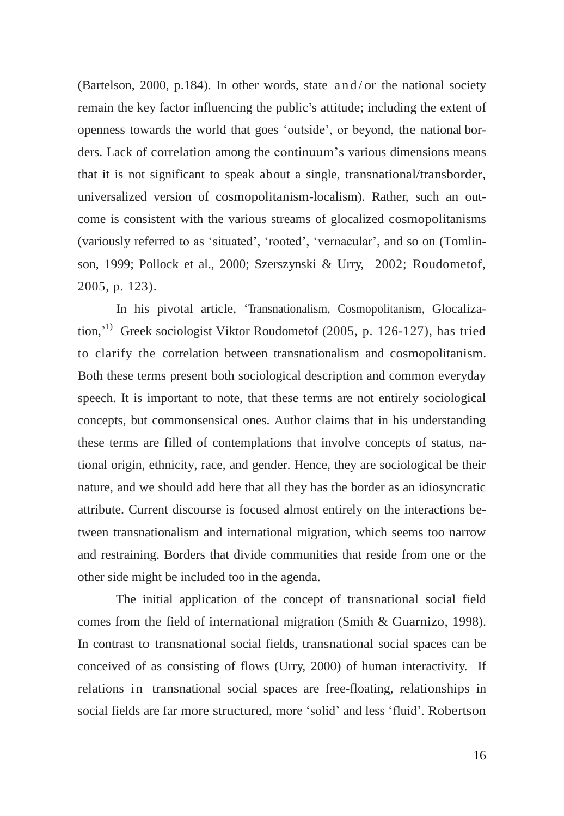(Bartelson, 2000, p.184). In other words, state and/or the national society remain the key factor influencing the public's attitude; including the extent of openness towards the world that goes 'outside', or beyond, the national borders. Lack of correlation among the continuum's various dimensions means that it is not significant to speak about a single, transnational/transborder, universalized version of cosmopolitanism-localism). Rather, such an outcome is consistent with the various streams of glocalized cosmopolitanisms (variously referred to as 'situated', 'rooted', 'vernacular', and so on (Tomlinson, 1999; Pollock et al., 2000; Szerszynski & Urry, 2002; Roudometof, 2005, p. 123).

In his pivotal article, 'Transnationalism, Cosmopolitanism, Glocalization,' 1) Greek sociologist Viktor Roudometof (2005, p. 126-127), has tried to clarify the correlation between transnationalism and cosmopolitanism. Both these terms present both sociological description and common everyday speech. It is important to note, that these terms are not entirely sociological concepts, but commonsensical ones. Author claims that in his understanding these terms are filled of contemplations that involve concepts of status, national origin, ethnicity, race, and gender. Hence, they are sociological be their nature, and we should add here that all they has the border as an idiosyncratic attribute. Current discourse is focused almost entirely on the interactions between transnationalism and international migration, which seems too narrow and restraining. Borders that divide communities that reside from one or the other side might be included too in the agenda.

The initial application of the concept of transnational social field comes from the field of international migration (Smith & Guarnizo, 1998). In contrast to transnational social fields, transnational social spaces can be conceived of as consisting of flows (Urry, 2000) of human interactivity. If relations in transnational social spaces are free-floating, relationships in social fields are far more structured, more 'solid' and less 'fluid'. Robertson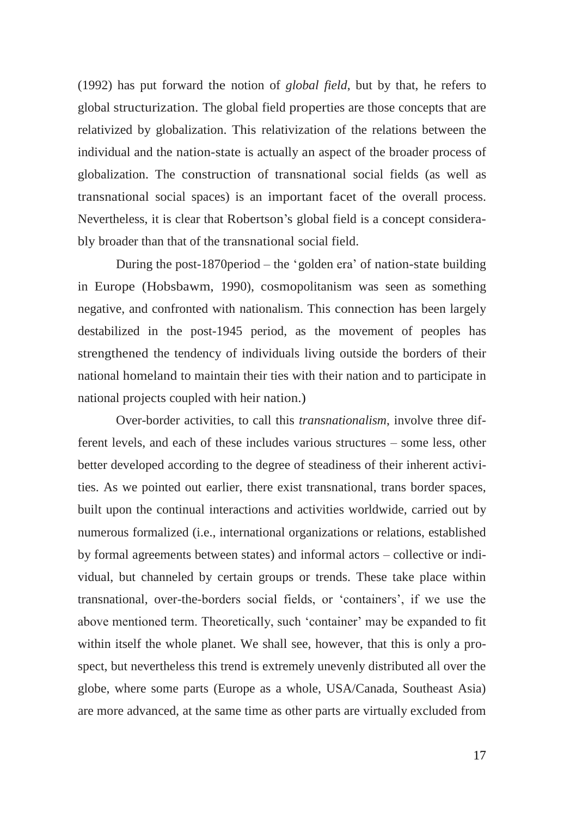(1992) has put forward the notion of *global field*, but by that, he refers to global structurization. The global field properties are those concepts that are relativized by globalization. This relativization of the relations between the individual and the nation-state is actually an aspect of the broader process of globalization. The construction of transnational social fields (as well as transnational social spaces) is an important facet of the overall process. Nevertheless, it is clear that Robertson's global field is a concept considerably broader than that of the transnational social field.

During the post-1870period – the 'golden era' of nation-state building in Europe (Hobsbawm, 1990), cosmopolitanism was seen as something negative, and confronted with nationalism. This connection has been largely destabilized in the post-1945 period, as the movement of peoples has strengthened the tendency of individuals living outside the borders of their national homeland to maintain their ties with their nation and to participate in national projects coupled with heir nation.)

Over-border activities, to call this *transnationalism*, involve three different levels, and each of these includes various structures – some less, other better developed according to the degree of steadiness of their inherent activities. As we pointed out earlier, there exist transnational, trans border spaces, built upon the continual interactions and activities worldwide, carried out by numerous formalized (i.e., international organizations or relations, established by formal agreements between states) and informal actors – collective or individual, but channeled by certain groups or trends. These take place within transnational, over-the-borders social fields, or 'containers', if we use the above mentioned term. Theoretically, such 'container' may be expanded to fit within itself the whole planet. We shall see, however, that this is only a prospect, but nevertheless this trend is extremely unevenly distributed all over the globe, where some parts (Europe as a whole, USA/Canada, Southeast Asia) are more advanced, at the same time as other parts are virtually excluded from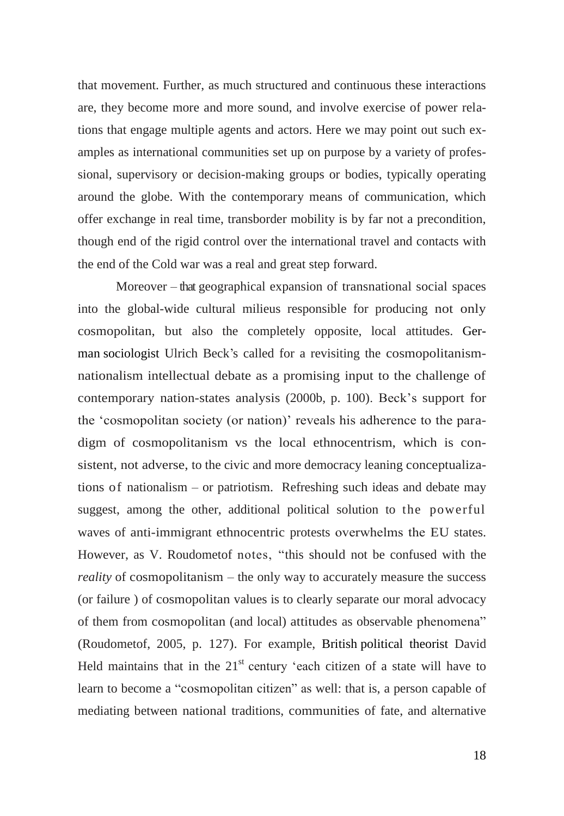that movement. Further, as much structured and continuous these interactions are, they become more and more sound, and involve exercise of power relations that engage multiple agents and actors. Here we may point out such examples as international communities set up on purpose by a variety of professional, supervisory or decision-making groups or bodies, typically operating around the globe. With the contemporary means of communication, which offer exchange in real time, transborder mobility is by far not a precondition, though end of the rigid control over the international travel and contacts with the end of the Cold war was a real and great step forward.

Moreover – that geographical expansion of transnational social spaces into the global-wide cultural milieus responsible for producing not only cosmopolitan, but also the completely opposite, local attitudes. [Ger](http://en.wikipedia.org/wiki/Germany)[man](http://en.wikipedia.org/wiki/Germany) [sociologist](http://en.wikipedia.org/wiki/Sociologist) Ulrich Beck's called for a revisiting the cosmopolitanismnationalism intellectual debate as a promising input to the challenge of contemporary nation-states analysis (2000b, p. 100). Beck's support for the 'cosmopolitan society (or nation)' reveals his adherence to the paradigm of cosmopolitanism vs the local ethnocentrism, which is consistent, not adverse, to the civic and more democracy leaning conceptualizations of nationalism – or patriotism. Refreshing such ideas and debate may suggest, among the other, additional political solution to the powerful waves of anti-immigrant ethnocentric protests overwhelms thе EU states. However, as V. Roudometof notes, "this should not be confused with the *reality* of cosmopolitanism – the only way to accurately measure the success (or failure ) of cosmopolitan values is to clearly separate our moral advocacy of them from cosmopolitan (and local) attitudes as observable phenomena" (Roudometof, 2005, p. 127). For example, [British](http://en.wikipedia.org/wiki/United_Kingdom) [political theorist](http://en.wikipedia.org/wiki/Political_theorist) David Held maintains that in the  $21<sup>st</sup>$  century 'each citizen of a state will have to learn to become a "cosmopolitan citizen" as well: that is, a person capable of mediating between national traditions, communities of fate, and alternative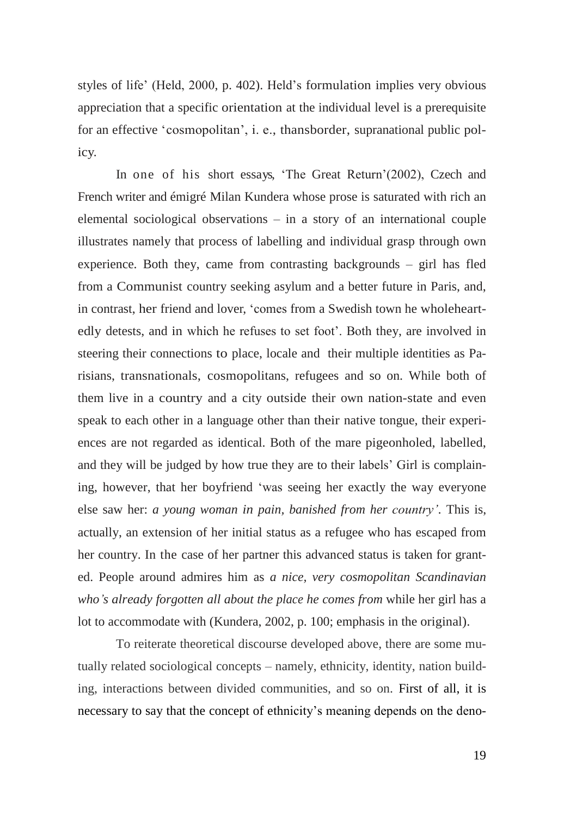styles of life' (Held, 2000, p. 402). Held's formulation implies very obvious appreciation that a specific orientation at the individual level is a prerequisite for an effective 'cosmopolitan', i. e., thansborder, supranational public policy.

In one of his short essays, 'The Great Return'(2002), Czech and French writer and émigré Milan Kundera whose prose is saturated with rich an elemental sociological observations – in a story of an international couple illustrates namely that process of labelling and individual grasp through own experience. Both they, came from contrasting backgrounds – girl has fled from a Communist country seeking asylum and a better future in Paris, and, in contrast, her friend and lover, 'comes from a Swedish town he wholeheartedly detests, and in which he refuses to set foot'. Both they, are involved in steering their connections to place, locale and their multiple identities as Parisians, transnationals, cosmopolitans, refugees and so on. While both of them live in a country and a city outside their own nation-state and even speak to each other in a language other than their native tongue, their experiences are not regarded as identical. Both of the mare pigeonholed, labelled, and they will be judged by how true they are to their labels' Girl is complaining, however, that her boyfriend 'was seeing her exactly the way everyone else saw her: *a young woman in pain, banished from her country'*. This is, actually, an extension of her initial status as a refugee who has escaped from her country. In the case of her partner this advanced status is taken for granted. People around admires him as *a nice, very cosmopolitan Scandinavian who's already forgotten all about the place he comes from* while her girl has a lot to accommodate with (Kundera, 2002, p. 100; emphasis in the original).

To reiterate theoretical discourse developed above, there are some mutually related sociological concepts – namely, ethnicity, identity, nation building, interactions between divided communities, and so on. First of all, it is necessary to say that the concept of ethnicity's meaning depends on the deno-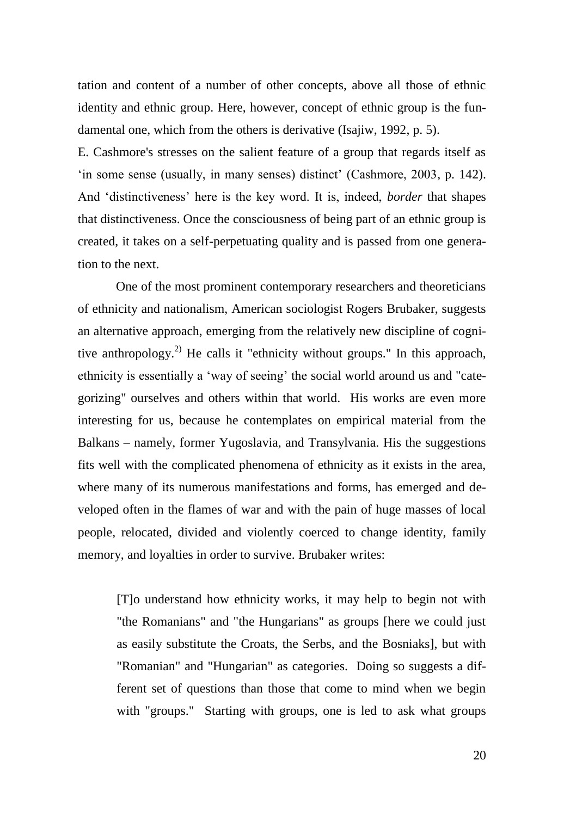tation and content of a number of other concepts, above all those of ethnic identity and ethnic group. Here, however, concept of ethnic group is the fundamental one, which from the others is derivative (Isajiw, 1992, p. 5).

E. Cashmore's stresses on the salient feature of a group that regards itself as 'in some sense (usually, in many senses) distinct' (Cashmore, 2003, p. 142). And 'distinctiveness' here is the key word. It is, indeed, *border* that shapes that distinctiveness. Once the consciousness of being part of an ethnic group is created, it takes on a self-perpetuating quality and is passed from one generation to the next.

One of the most prominent contemporary researchers and theoreticians of ethnicity and nationalism, American sociologist Rogers Brubaker, suggests an alternative approach, emerging from the relatively new discipline of cognitive anthropology.<sup>2)</sup> He calls it "ethnicity without groups." In this approach, ethnicity is essentially a 'way of seeing' the social world around us and "categorizing" ourselves and others within that world. His works are even more interesting for us, because he contemplates on empirical material from the Balkans – namely, former Yugoslavia, and Transylvania. His the suggestions fits well with the complicated phenomena of ethnicity as it exists in the area, where many of its numerous manifestations and forms, has emerged and developed often in the flames of war and with the pain of huge masses of local people, relocated, divided and violently coerced to change identity, family memory, and loyalties in order to survive. Brubaker writes:

[T]o understand how ethnicity works, it may help to begin not with "the Romanians" and "the Hungarians" as groups [here we could just as easily substitute the Croats, the Serbs, and the Bosniaks], but with "Romanian" and "Hungarian" as categories. Doing so suggests a different set of questions than those that come to mind when we begin with "groups." Starting with groups, one is led to ask what groups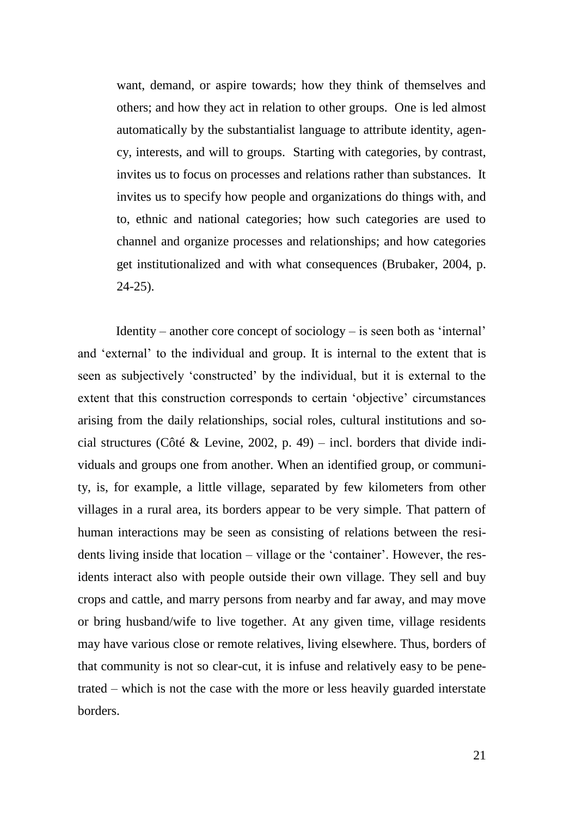want, demand, or aspire towards; how they think of themselves and others; and how they act in relation to other groups. One is led almost automatically by the substantialist language to attribute identity, agency, interests, and will to groups. Starting with categories, by contrast, invites us to focus on processes and relations rather than substances. It invites us to specify how people and organizations do things with, and to, ethnic and national categories; how such categories are used to channel and organize processes and relationships; and how categories get institutionalized and with what consequences (Brubaker, 2004, p. 24-25).

Identity – another core concept of sociology – is seen both as 'internal' and 'external' to the individual and group. It is internal to the extent that is seen as subjectively 'constructed' by the individual, but it is external to the extent that this construction corresponds to certain 'objective' circumstances arising from the daily relationships, social roles, cultural institutions and social structures (Côté & Levine, 2002, p. 49) – incl. borders that divide individuals and groups one from another. When an identified group, or community, is, for example, a little village, separated by few kilometers from other villages in a rural area, its borders appear to be very simple. That pattern of human interactions may be seen as consisting of relations between the residents living inside that location – village or the 'container'. However, the residents interact also with people outside their own village. They sell and buy crops and cattle, and marry persons from nearby and far away, and may move or bring husband/wife to live together. At any given time, village residents may have various close or remote relatives, living elsewhere. Thus, borders of that community is not so clear-cut, it is infuse and relatively easy to be penetrated – which is not the case with the more or less heavily guarded interstate borders.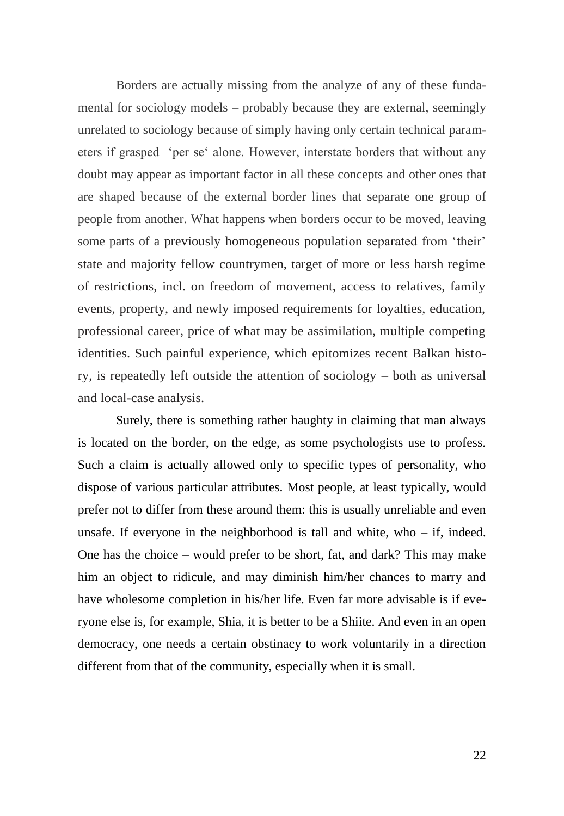Borders are actually missing from the analyze of any of these fundamental for sociology models – probably because they are external, seemingly unrelated to sociology because of simply having only certain technical parameters if grasped 'per se' alone. However, interstate borders that without any doubt may appear as important factor in all these concepts and other ones that are shaped because of the external border lines that separate one group of people from another. What happens when borders occur to be moved, leaving some parts of a previously homogeneous population separated from 'their' state and majority fellow countrymen, target of more or less harsh regime of restrictions, incl. on freedom of movement, access to relatives, family events, property, and newly imposed requirements for loyalties, education, professional career, price of what may be assimilation, multiple competing identities. Such painful experience, which epitomizes recent Balkan history, is repeatedly left outside the attention of sociology – both as universal and local-case analysis.

Surely, there is something rather haughty in claiming that man always is located on the border, on the edge, as some psychologists use to profess. Such a claim is actually allowed only to specific types of personality, who dispose of various particular attributes. Most people, at least typically, would prefer not to differ from these around them: this is usually unreliable and even unsafe. If everyone in the neighborhood is tall and white, who  $-$  if, indeed. One has the choice – would prefer to be short, fat, and dark? This may make him an object to ridicule, and may diminish him/her chances to marry and have wholesome completion in his/her life. Even far more advisable is if everyone else is, for example, Shia, it is better to be a Shiite. And even in an open democracy, one needs a certain obstinacy to work voluntarily in a direction different from that of the community, especially when it is small.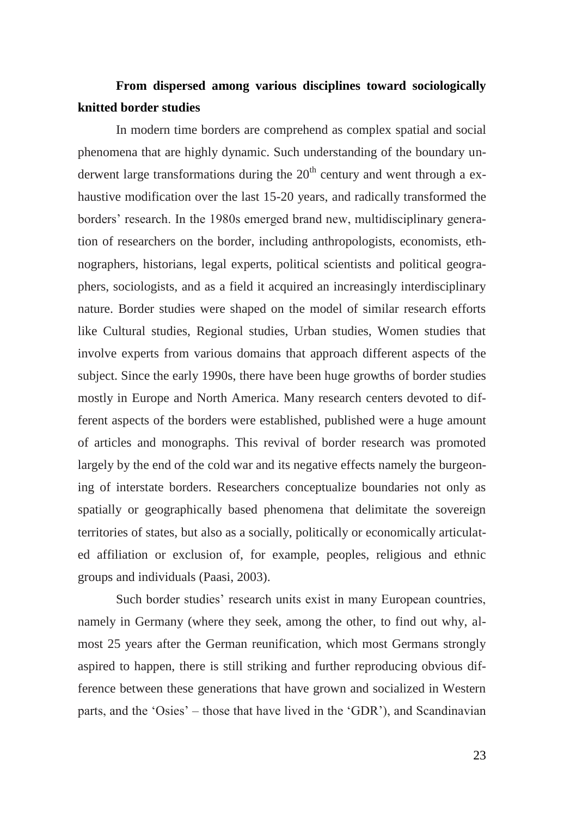## **From dispersed among various disciplines toward sociologically knitted border studies**

In modern time borders are comprehend as complex spatial and social phenomena that are highly dynamic. Such understanding of the boundary underwent large transformations during the  $20<sup>th</sup>$  century and went through a exhaustive modification over the last 15-20 years, and radically transformed the borders' research. In the 1980s emerged brand new, multidisciplinary generation of researchers on the border, including anthropologists, economists, ethnographers, historians, legal experts, political scientists and political geographers, sociologists, and as a field it acquired an increasingly interdisciplinary nature. Border studies were shaped on the model of similar research efforts like Cultural studies, Regional studies, Urban studies, Women studies that involve experts from various domains that approach different aspects of the subject. Since the early 1990s, there have been huge growths of border studies mostly in Europe and North America. Many research centers devoted to different aspects of the borders were established, published were a huge amount of articles and monographs. This revival of border research was promoted largely by the end of the cold war and its negative effects namely the burgeoning of interstate borders. Researchers conceptualize boundaries not only as spatially or geographically based phenomena that delimitate the sovereign territories of states, but also as a socially, politically or economically articulated affiliation or exclusion of, for example, peoples, religious and ethnic groups and individuals (Paasi, 2003).

Such border studies' research units exist in many European countries, namely in Germany (where they seek, among the other, to find out why, almost 25 years after the German reunification, which most Germans strongly aspired to happen, there is still striking and further reproducing obvious difference between these generations that have grown and socialized in Western parts, and the 'Osies' – those that have lived in the 'GDR'), and Scandinavian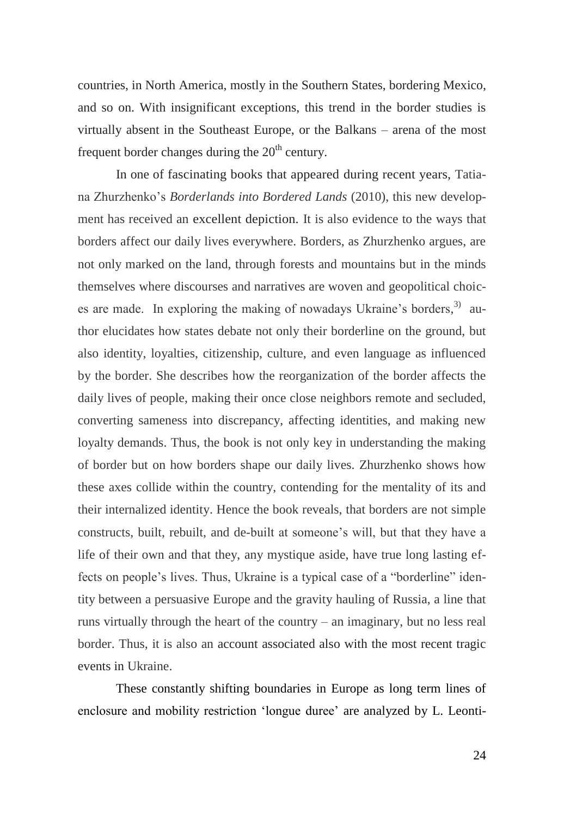countries, in North America, mostly in the Southern States, bordering Mexico, and so on. With insignificant exceptions, this trend in the border studies is virtually absent in the Southeast Europe, or the Balkans – arena of the most frequent border changes during the  $20<sup>th</sup>$  century.

In one of fascinating books that appeared during recent years, Tatiana Zhurzhenko's *Borderlands into Bordered Lands* (2010), this new development has received an excellent depiction. It is also evidence to the ways that borders affect our daily lives everywhere. Borders, as Zhurzhenko argues, are not only marked on the land, through forests and mountains but in the minds themselves where discourses and narratives are woven and geopolitical choices are made. In exploring the making of nowadays Ukraine's borders,<sup>3)</sup> author elucidates how states debate not only their borderline on the ground, but also identity, loyalties, citizenship, culture, and even language as influenced by the border. She describes how the reorganization of the border affects the daily lives of people, making their once close neighbors remote and secluded, converting sameness into discrepancy, affecting identities, and making new loyalty demands. Thus, the book is not only key in understanding the making of border but on how borders shape our daily lives. Zhurzhenko shows how these axes collide within the country, contending for the mentality of its and their internalized identity. Hence the book reveals, that borders are not simple constructs, built, rebuilt, and de-built at someone's will, but that they have a life of their own and that they, any mystique aside, have true long lasting effects on people's lives. Thus, Ukraine is a typical case of a "borderline" identity between a persuasive Europe and the gravity hauling of Russia, a line that runs virtually through the heart of the country – an imaginary, but no less real border. Thus, it is also an account associated also with the most recent tragic events in Ukraine.

These constantly shifting boundaries in Europe as long term lines of enclosure and mobility restriction 'longue duree' are analyzed by L. Leonti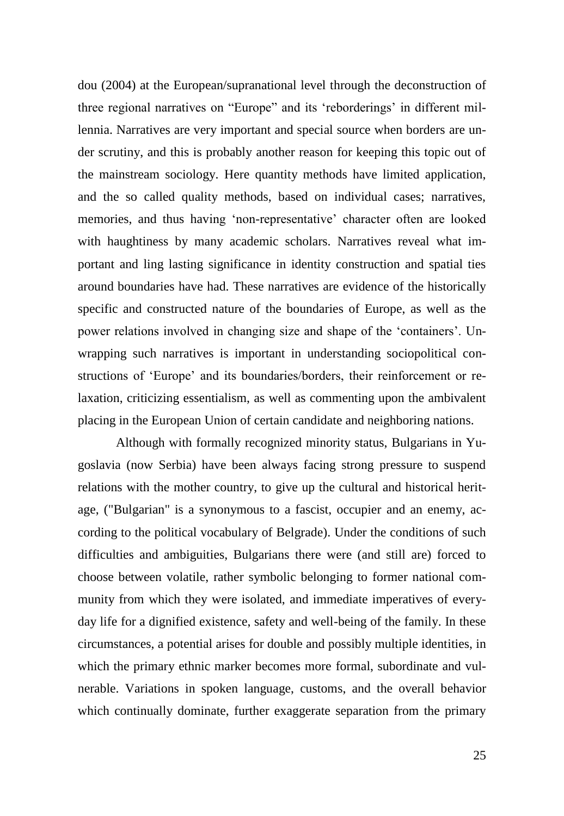dou (2004) at the European/supranational level through the deconstruction of three regional narratives on "Europe" and its 'reborderings' in different millennia. Narratives are very important and special source when borders are under scrutiny, and this is probably another reason for keeping this topic out of the mainstream sociology. Here quantity methods have limited application, and the so called quality methods, based on individual cases; narratives, memories, and thus having 'non-representative' character often are looked with haughtiness by many academic scholars. Narratives reveal what important and ling lasting significance in identity construction and spatial ties around boundaries have had. These narratives are evidence of the historically specific and constructed nature of the boundaries of Europe, as well as the power relations involved in changing size and shape of the 'containers'. Unwrapping such narratives is important in understanding sociopolitical constructions of 'Europe' and its boundaries/borders, their reinforcement or relaxation, criticizing essentialism, as well as commenting upon the ambivalent placing in the European Union of certain candidate and neighboring nations.

Although with formally recognized minority status, Bulgarians in Yugoslavia (now Serbia) have been always facing strong pressure to suspend relations with the mother country, to give up the cultural and historical heritage, ("Bulgarian" is a synonymous to a fascist, occupier and an enemy, according to the political vocabulary of Belgrade). Under the conditions of such difficulties and ambiguities, Bulgarians there were (and still are) forced to choose between volatile, rather symbolic belonging to former national community from which they were isolated, and immediate imperatives of everyday life for a dignified existence, safety and well-being of the family. In these circumstances, a potential arises for double and possibly multiple identities, in which the primary ethnic marker becomes more formal, subordinate and vulnerable. Variations in spoken language, customs, and the overall behavior which continually dominate, further exaggerate separation from the primary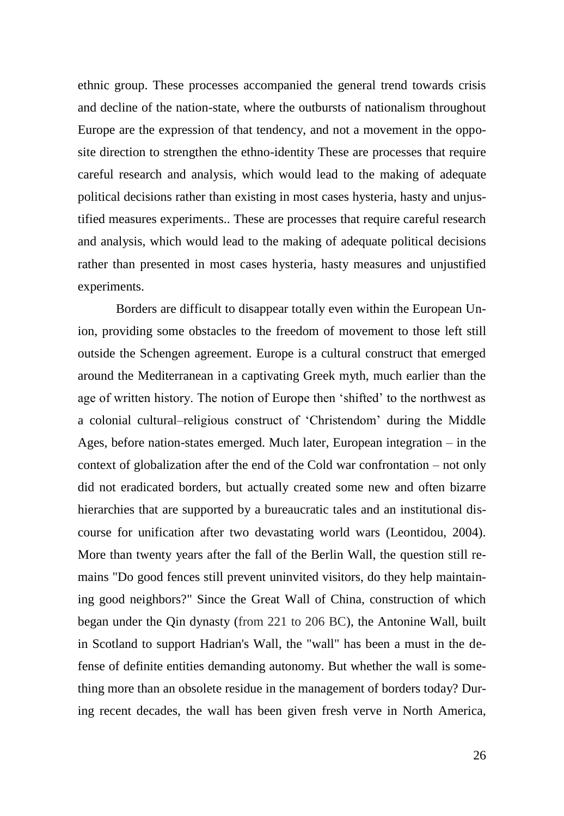ethnic group. These processes accompanied the general trend towards crisis and decline of the nation-state, where the outbursts of nationalism throughout Europe are the expression of that tendency, and not a movement in the opposite direction to strengthen the ethno-identity These are processes that require careful research and analysis, which would lead to the making of adequate political decisions rather than existing in most cases hysteria, hasty and unjustified measures experiments.. These are processes that require careful research and analysis, which would lead to the making of adequate political decisions rather than presented in most cases hysteria, hasty measures and unjustified experiments.

Borders are difficult to disappear totally even within the European Union, providing some obstacles to the freedom of movement to those left still outside the Schengen agreement. Europe is a cultural construct that emerged around the Mediterranean in a captivating Greek myth, much earlier than the age of written history. The notion of Europe then 'shifted' to the northwest as a colonial cultural–religious construct of 'Christendom' during the Middle Ages, before nation-states emerged. Much later, European integration – in the context of globalization after the end of the Cold war confrontation – not only did not eradicated borders, but actually created some new and often bizarre hierarchies that are supported by a bureaucratic tales and an institutional discourse for unification after two devastating world wars (Leontidou, 2004). More than twenty years after the fall of the Berlin Wall, the question still remains "Do good fences still prevent uninvited visitors, do they help maintaining good neighbors?" Since the Great Wall of China, construction of which began under the Qin dynasty (from 221 to 206 BC), the Antonine Wall, built in Scotland to support Hadrian's Wall, the "wall" has been a must in the defense of definite entities demanding autonomy. But whether the wall is something more than an obsolete residue in the management of borders today? During recent decades, the wall has been given fresh verve in North America,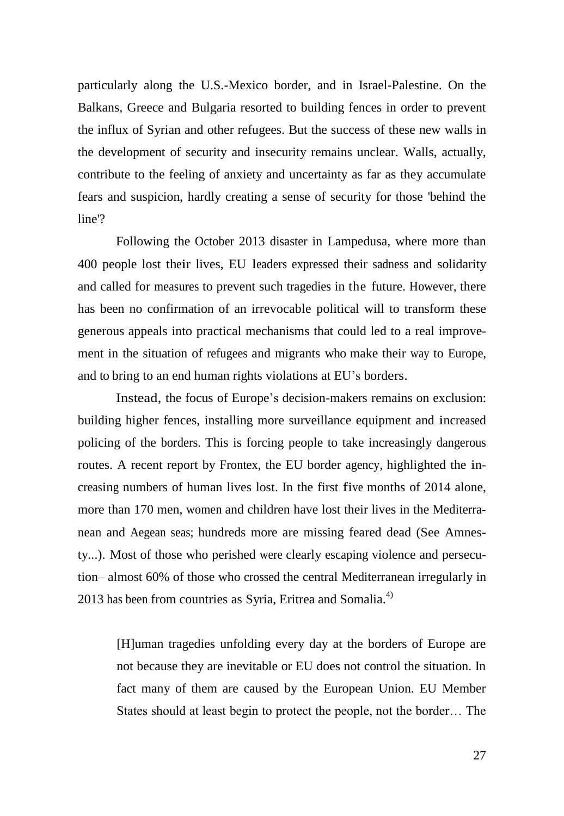particularly along the U.S.-Mexico border, and in Israel-Palestine. On the Balkans, Greece and Bulgaria resorted to building fences in order to prevent the influx of Syrian and other refugees. But the success of these new walls in the development of security and insecurity remains unclear. Walls, actually, contribute to the feeling of anxiety and uncertainty as far as they accumulate fears and suspicion, hardly creating a sense of security for those 'behind the line'?

Following the October 2013 disaster in Lampedusa, where more than 400 people lost their lives, EU leaders expressed their sadness and solidarity and called for measures to prevent such tragedies in the future. However, there has been no confirmation of an irrevocable political will to transform these generous appeals into practical mechanisms that could led to a real improvement in the situation of refugees and migrants who make their way to Europe, and to bring to an end human rights violations at EU's borders.

Instead, the focus of Europe's decision-makers remains on exclusion: building higher fences, installing more surveillance equipment and increased policing of the borders. This is forcing people to take increasingly dangerous routes. A recent report by Frontex, the EU border agency, highlighted the increasing numbers of human lives lost. In the first five months of 2014 alone, more than 170 men, women and children have lost their lives in the Mediterranean and Aegean seas; hundreds more are missing feared dead (See Amnesty...). Most of those who perished were clearly escaping violence and persecution– almost 60% of those who crossed the central Mediterranean irregularly in 2013 has been from countries as Syria, Eritrea and Somalia. $^{4)}$ 

[H]uman tragedies unfolding every day at the borders of Europe are not because they are inevitable or EU does not control the situation. In fact many of them are caused by the European Union. EU Member States should at least begin to protect the people, not the border… The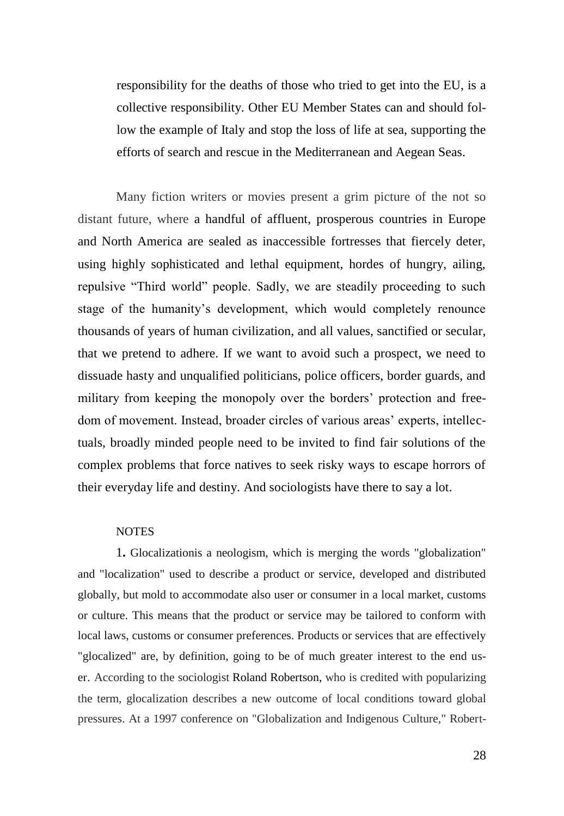responsibility for the deaths of those who tried to get into the EU, is a collective responsibility. Other EU Member States can and should follow the example of Italy and stop the loss of life at sea, supporting the efforts of search and rescue in the Mediterranean and Aegean Seas.

Many fiction writers or movies present a grim picture of the not so distant future, where a handful of affluent, prosperous countries in Europe and North America are sealed as inaccessible fortresses that fiercely deter, using highly sophisticated and lethal equipment, hordes of hungry, ailing, repulsive "Third world" people. Sadly, we are steadily proceeding to such stage of the humanity's development, which would completely renounce thousands of years of human civilization, and all values, sanctified or secular, that we pretend to adhere. If we want to avoid such a prospect, we need to dissuade hasty and unqualified politicians, police officers, border guards, and military from keeping the monopoly over the borders' protection and freedom of movement. Instead, broader circles of various areas' experts, intellectuals, broadly minded people need to be invited to find fair solutions of the complex problems that force natives to seek risky ways to escape horrors of their everyday life and destiny. And sociologists have there to say a lot.

#### **NOTES**

1**.** Glocalizationis a neologism, which is merging the words "globalization" and "localization" used to describe a product or service, developed and distributed globally, but mold to accommodate also user or consumer in a local market, customs or culture. This means that the product or service may be tailored to conform with local laws, customs or consumer preferences. Products or services that are effectively "glocalized" are, by definition, going to be of much greater interest to the end user. According to the sociologist [Roland Robertson,](http://en.wikipedia.org/wiki/Roland_Robertson) who is credited with popularizing the term, glocalization describes a new outcome of local conditions toward global pressures. At a 1997 conference on "Globalization and Indigenous Culture," Robert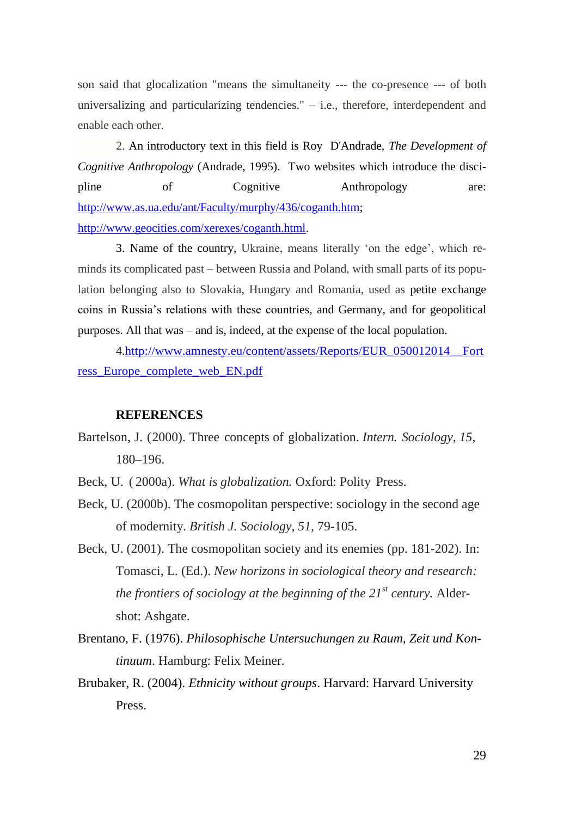son said that glocalization "means the simultaneity --- the co-presence --- of both universalizing and particularizing tendencies."  $-$  i.e., therefore, interdependent and enable each other.

2. An introductory text in this field is Roy D'Andrade, *The Development of Cognitive Anthropology* (Andrade, 1995). Two websites which introduce the discipline of Cognitive Anthropology are: [http://www.as.ua.edu/ant/Faculty/murphy/436/coganth.htm;](http://www.as.ua.edu/ant/Faculty/murphy/436/coganth.htm) [http://www.geocities.com/xerexes/coganth.html.](http://www.geocities.com/xerexes/coganth.html)

3. Name of the country, Ukraine, means literally 'on the edge', which reminds its complicated past – between Russia and Poland, with small parts of its population belonging also to Slovakia, Hungary and Romania, used as petite exchange coins in Russia's relations with these countries, and Germany, and for geopolitical purposes. All that was – and is, indeed, at the expense of the local population.

4[.http://www.amnesty.eu/content/assets/Reports/EUR\\_050012014\\_\\_Fort](http://www.amnesty.eu/content/assets/Reports/EUR_050012014__Fortress_Europe_complete_web_EN.pdf) [ress\\_Europe\\_complete\\_web\\_EN.pdf](http://www.amnesty.eu/content/assets/Reports/EUR_050012014__Fortress_Europe_complete_web_EN.pdf)

#### **REFERENCES**

- Bartelson, J. (2000). Three concepts of globalization. *Intern. Sociology, 15,* 180–196.
- Beck, U. ( 2000a). *What is globalization.* Oxford: Polity Press.
- Beck, U. (2000b). The cosmopolitan perspective: sociology in the second age of modernity. *British J. Sociology, 51,* 79-105.
- Beck, U. (2001). The cosmopolitan society and its enemies (pp. 181-202). In: Tomasci, L. (Ed.). *New horizons in sociological theory and research: the frontiers of sociology at the beginning of the 21st century.* Aldershot: Ashgate.
- Brentano, F. (1976). *Philosophische Untersuchungen zu Raum, Zeit und Kontinuum*. Hamburg: Felix Meiner.
- Brubaker, R. (2004). *Ethnicity without groups*. Harvard: Harvard University Press.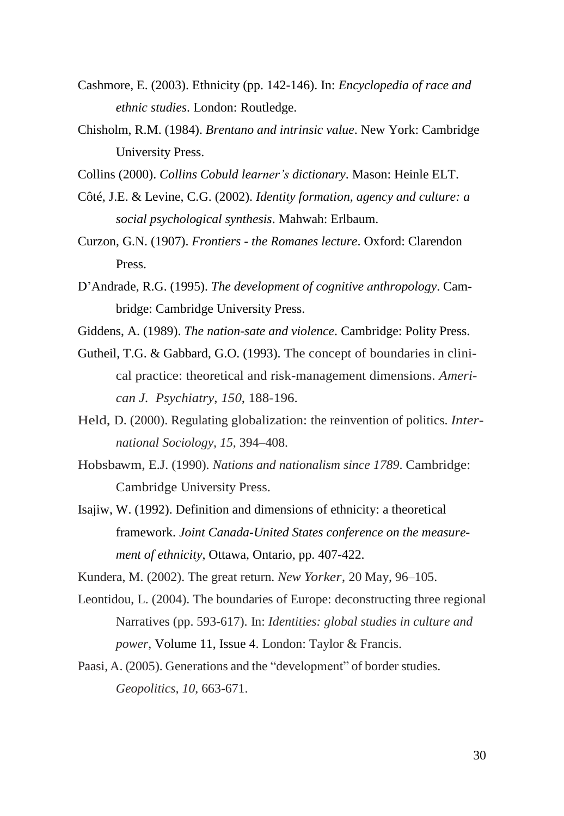- Cashmore, E. (2003). Ethnicity (pp. 142-146). In: *Encyclopedia of race and ethnic studies*. London: Routledge.
- Chisholm, R.M. (1984). *Brentano and intrinsic value*. New York: Cambridge University Press.
- Collins (2000). *Collins Cobuld learner's dictionary*. Mason: Heinle ELT.
- Côté, J.E. & Levine, C.G. (2002). *Identity formation, agency and culture: a social psychological synthesis*. Mahwah: Erlbaum.
- Curzon, G.N. (1907). *Frontiers - the Romanes lecture*. Oxford: Clarendon Press.
- D'Andrade, R.G. (1995). *The development of cognitive аnthropology*. Cambridge: Cambridge University Press.
- Giddens, A. (1989). *The nation-sate and violence*. Cambridge: Polity Press.
- Gutheil, T.G. & Gabbard, G.O. (1993). The concept of boundaries in clinical practice: theoretical and risk-management dimensions. *American J. Psychiatry*, *150*, 188-196.
- Held, D. (2000). Regulating globalization: the reinvention of politics. *International Sociology, 15*, 394–408.
- Hobsbawm, E.J. (1990). *Nations and nationalism since 1789*. Cambridge: Cambridge University Press.
- Isajiw, W. (1992). Definition and dimensions of ethnicity: a theoretical framework. *Joint Canada-United States conference on the measurement of ethnicity*, Ottawa, Ontario, pp. 407-422.
- Kundera, M. (2002). The great return. *New Yorker,* 20 May, 96–105.
- Leontidou, L. (2004). The boundaries of Europe: deconstructing three regional Narratives (pp. 593-617). In: *Identities: global studies in culture and power*, [Volume 11,](http://www.tandfonline.com/loi/gide20?open=11#vol_11) [Issue 4.](http://www.tandfonline.com/toc/gide20/11/4) London: Taylor & Francis.
- Paasi, A. (2005). Generations and the "development" of border studies. *Geopolitics, 10*, 663-671.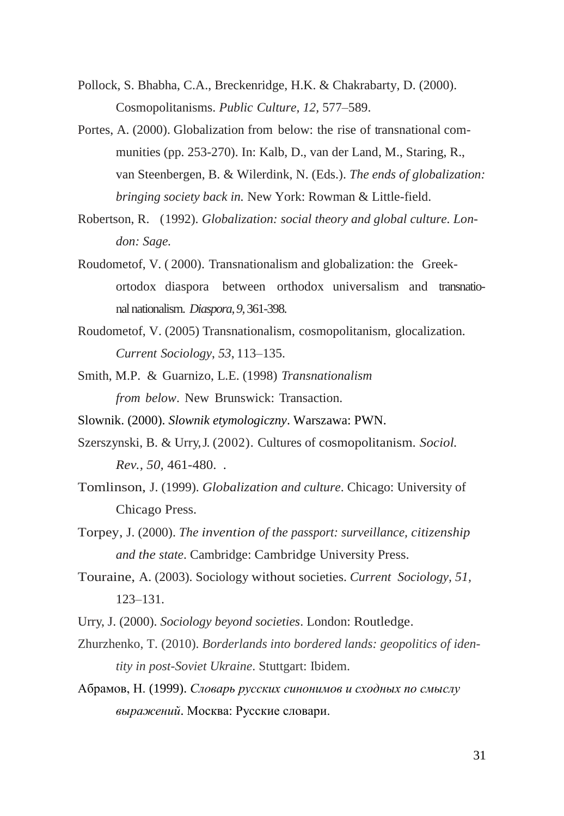- Pollock, S. Bhabha, C.A., Breckenridge, H.K. & Chakrabarty, D. (2000). Cosmopolitanisms. *Public Culture, 12,* 577–589.
- Portes, A. (2000). Globalization from below: the rise of transnational communities (pp. 253-270). In: Kalb, D., van der Land, M., Staring, R., van Steenbergen, B. & Wilerdink, N. (Eds.). *The ends of globalization: bringing society back in.* New York: Rowman & Little-field.
- Robertson, R. (1992). *Globalization: social theory and global culture. London: Sage.*
- Roudometof, V. ( 2000). Transnationalism and globalization: the Greekortodox diaspora between orthodox universalism and transnational nationalism. *Diaspora, 9,* 361-398.
- Roudometof, V. (2005) Transnationalism, cosmopolitanism, glocalization. *Current Sociology*, *53*, 113–135.
- Smith, M.P. & Guarnizo, L.E. (1998) *Transnationalism from below*. New Brunswick: Transaction.
- Slownik. (2000). *Slownik etymologiczny*. Warszawa: PWN.
- Szerszynski, B. & Urry, J. (2002). Cultures of cosmopolitanism. *Sociol. Rev., 50,* 461-480. *.*
- Tomlinson, J. (1999). *Globalization and culture*. Chicago: University of Chicago Press.
- Torpey, J. (2000). *The invention of the passport: surveillance, citizenship and the state*. Cambridge: Cambridge University Press.
- Touraine, A. (2003). Sociology without societies. *Current Sociology, 51,* 123–131.
- Urry, J. (2000). *Sociology beyond societies*. London: Routledge.
- Zhurzhenko, T. (2010). *Borderlands into bordered lands: geopolitics of identity in post-Soviet Ukraine*. Stuttgart: Ibidem.
- Абрамов, Н. (1999). *Словарь русских синонимов и сходных по смыслу выражений*. Москва: Русские словари.